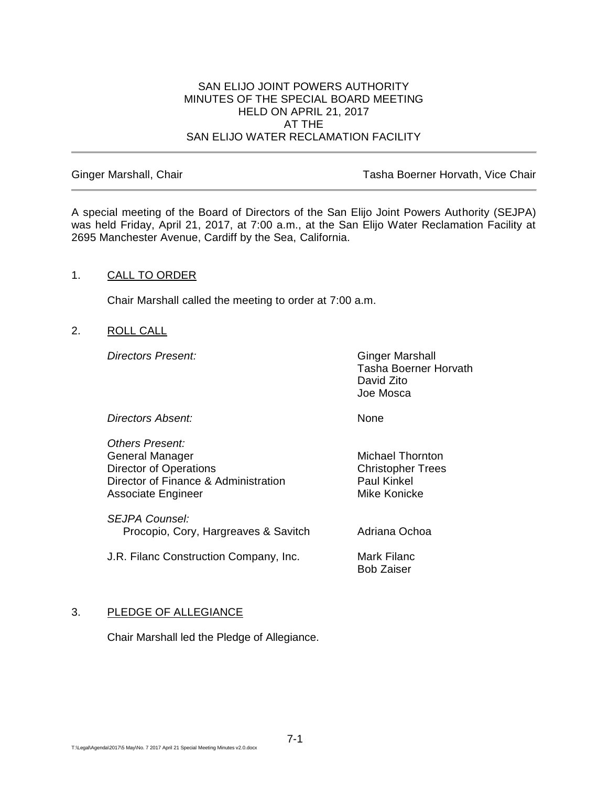## SAN ELIJO JOINT POWERS AUTHORITY MINUTES OF THE SPECIAL BOARD MEETING HELD ON APRIL 21, 2017 AT THE SAN ELIJO WATER RECLAMATION FACILITY

Ginger Marshall, Chair **Tasha Boerner Horvath, Vice Chair** Tasha Boerner Horvath, Vice Chair

A special meeting of the Board of Directors of the San Elijo Joint Powers Authority (SEJPA) was held Friday, April 21, 2017, at 7:00 a.m., at the San Elijo Water Reclamation Facility at 2695 Manchester Avenue, Cardiff by the Sea, California.

## 1. CALL TO ORDER

Chair Marshall called the meeting to order at 7:00 a.m.

2. ROLL CALL

**Directors Present:** Ginger Marshall

Tasha Boerner Horvath David Zito Joe Mosca

*Directors Absent:* None

*Others Present:* General Manager Michael Thornton Director of Operations Christopher Trees Director of Finance & Administration Paul Kinkel Associate Engineer Mike Konicke

*SEJPA Counsel:* Procopio, Cory, Hargreaves & Savitch Adriana Ochoa

J.R. Filanc Construction Company, Inc. Mark Filanc

Bob Zaiser

## 3. PLEDGE OF ALLEGIANCE

Chair Marshall led the Pledge of Allegiance.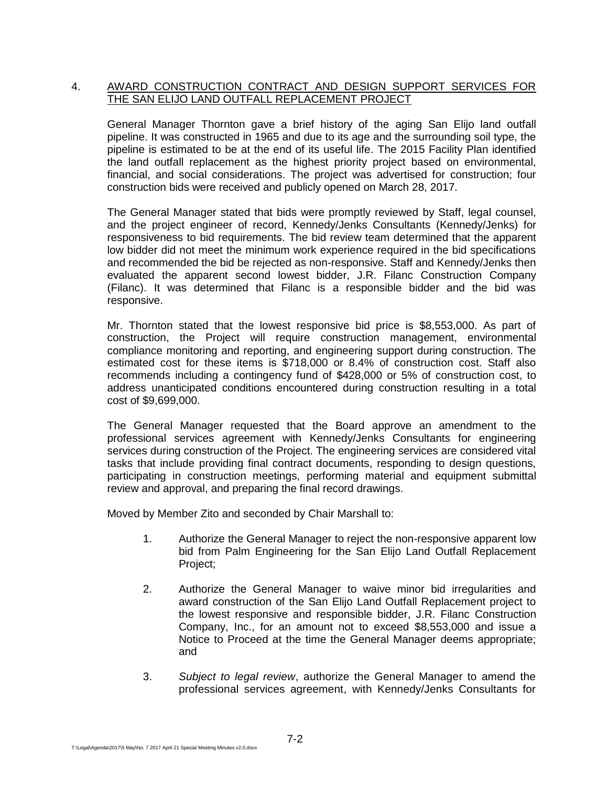## 4. AWARD CONSTRUCTION CONTRACT AND DESIGN SUPPORT SERVICES FOR THE SAN ELIJO LAND OUTFALL REPLACEMENT PROJECT

General Manager Thornton gave a brief history of the aging San Elijo land outfall pipeline. It was constructed in 1965 and due to its age and the surrounding soil type, the pipeline is estimated to be at the end of its useful life. The 2015 Facility Plan identified the land outfall replacement as the highest priority project based on environmental, financial, and social considerations. The project was advertised for construction; four construction bids were received and publicly opened on March 28, 2017.

The General Manager stated that bids were promptly reviewed by Staff, legal counsel, and the project engineer of record, Kennedy/Jenks Consultants (Kennedy/Jenks) for responsiveness to bid requirements. The bid review team determined that the apparent low bidder did not meet the minimum work experience required in the bid specifications and recommended the bid be rejected as non-responsive. Staff and Kennedy/Jenks then evaluated the apparent second lowest bidder, J.R. Filanc Construction Company (Filanc). It was determined that Filanc is a responsible bidder and the bid was responsive.

Mr. Thornton stated that the lowest responsive bid price is \$8,553,000. As part of construction, the Project will require construction management, environmental compliance monitoring and reporting, and engineering support during construction. The estimated cost for these items is \$718,000 or 8.4% of construction cost. Staff also recommends including a contingency fund of \$428,000 or 5% of construction cost, to address unanticipated conditions encountered during construction resulting in a total cost of \$9,699,000.

The General Manager requested that the Board approve an amendment to the professional services agreement with Kennedy/Jenks Consultants for engineering services during construction of the Project. The engineering services are considered vital tasks that include providing final contract documents, responding to design questions, participating in construction meetings, performing material and equipment submittal review and approval, and preparing the final record drawings.

Moved by Member Zito and seconded by Chair Marshall to:

- 1. Authorize the General Manager to reject the non-responsive apparent low bid from Palm Engineering for the San Elijo Land Outfall Replacement Project;
- 2. Authorize the General Manager to waive minor bid irregularities and award construction of the San Elijo Land Outfall Replacement project to the lowest responsive and responsible bidder, J.R. Filanc Construction Company, Inc., for an amount not to exceed \$8,553,000 and issue a Notice to Proceed at the time the General Manager deems appropriate; and
- 3. *Subject to legal review*, authorize the General Manager to amend the professional services agreement, with Kennedy/Jenks Consultants for